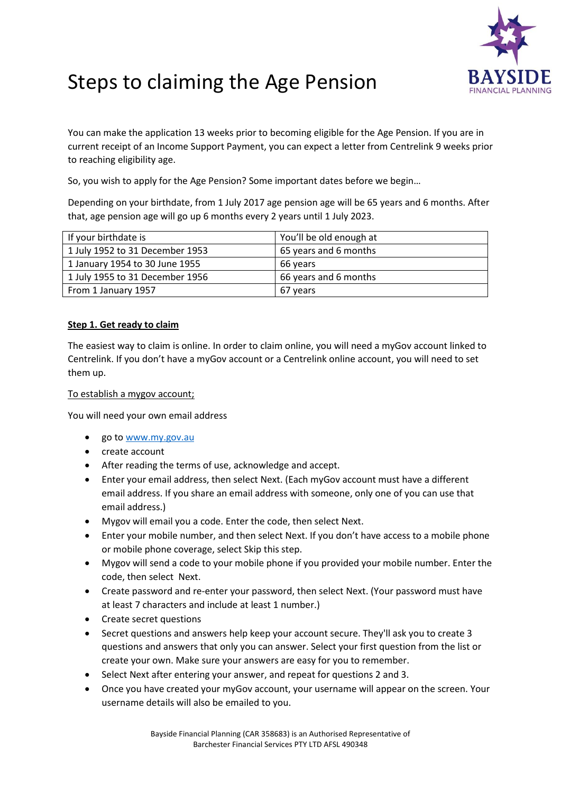

# Steps to claiming the Age Pension

You can make the application 13 weeks prior to becoming eligible for the Age Pension. If you are in current receipt of an Income Support Payment, you can expect a letter from Centrelink 9 weeks prior to reaching eligibility age.

So, you wish to apply for the Age Pension? Some important dates before we begin…

Depending on your birthdate, from 1 July 2017 age pension age will be 65 years and 6 months. After that, age pension age will go up 6 months every 2 years until 1 July 2023.

| If your birthdate is            | You'll be old enough at |
|---------------------------------|-------------------------|
| 1 July 1952 to 31 December 1953 | 65 years and 6 months   |
| 1 January 1954 to 30 June 1955  | 66 years                |
| 1 July 1955 to 31 December 1956 | 66 years and 6 months   |
| From 1 January 1957             | 67 years                |

## **Step 1. Get ready to claim**

The easiest way to claim is online. In order to claim online, you will need a myGov account linked to Centrelink. If you don't have a myGov account or a Centrelink online account, you will need to set them up.

#### To establish a mygov account;

You will need your own email address

- go to [www.my.gov.au](http://www.my.gov.au/)
- create account
- After reading the terms of use, acknowledge and accept.
- Enter your email address, then select Next. (Each myGov account must have a different email address. If you share an email address with someone, only one of you can use that email address.)
- Mygov will email you a code. Enter the code, then select Next.
- Enter your mobile number, and then select Next. If you don't have access to a mobile phone or mobile phone coverage, select Skip this step.
- Mygov will send a code to your mobile phone if you provided your mobile number. Enter the code, then select Next.
- Create password and re-enter your password, then select Next. (Your password must have at least 7 characters and include at least 1 number.)
- Create secret questions
- Secret questions and answers help keep your account secure. They'll ask you to create 3 questions and answers that only you can answer. Select your first question from the list or create your own. Make sure your answers are easy for you to remember.
- Select Next after entering your answer, and repeat for questions 2 and 3.
- Once you have created your myGov account, your username will appear on the screen. Your username details will also be emailed to you.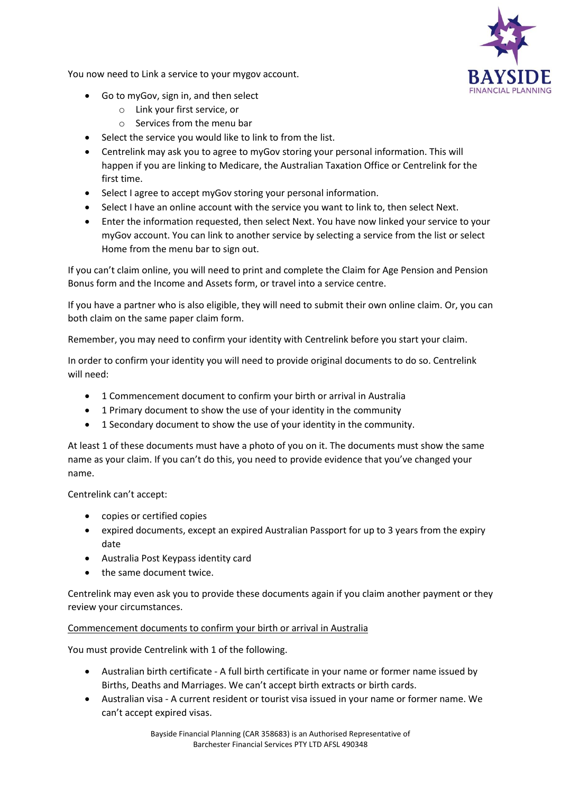

You now need to Link a service to your mygov account.

- Go to myGov, sign in, and then select
	- o Link your first service, or
	- o Services from the menu bar
- Select the service you would like to link to from the list.
- Centrelink may ask you to agree to myGov storing your personal information. This will happen if you are linking to Medicare, the Australian Taxation Office or Centrelink for the first time.
- Select I agree to accept myGov storing your personal information.
- Select I have an online account with the service you want to link to, then select Next.
- Enter the information requested, then select Next. You have now linked your service to your myGov account. You can link to another service by selecting a service from the list or select Home from the menu bar to sign out.

If you can't claim online, you will need to print and complete the Claim for Age Pension and Pension Bonus form and the Income and Assets form, or travel into a service centre.

If you have a partner who is also eligible, they will need to submit their own online claim. Or, you can both claim on the same paper claim form.

Remember, you may need to confirm your identity with Centrelink before you start your claim.

In order to confirm your identity you will need to provide original documents to do so. Centrelink will need:

- 1 Commencement document to confirm your birth or arrival in Australia
- 1 Primary document to show the use of your identity in the community
- 1 Secondary document to show the use of your identity in the community.

At least 1 of these documents must have a photo of you on it. The documents must show the same name as your claim. If you can't do this, you need to provide evidence that you've changed your name.

Centrelink can't accept:

- copies or certified copies
- expired documents, except an expired Australian Passport for up to 3 years from the expiry date
- Australia Post Keypass identity card
- the same document twice.

Centrelink may even ask you to provide these documents again if you claim another payment or they review your circumstances.

#### Commencement documents to confirm your birth or arrival in Australia

You must provide Centrelink with 1 of the following.

- Australian birth certificate A full birth certificate in your name or former name issued by Births, Deaths and Marriages. We can't accept birth extracts or birth cards.
- Australian visa A current resident or tourist visa issued in your name or former name. We can't accept expired visas.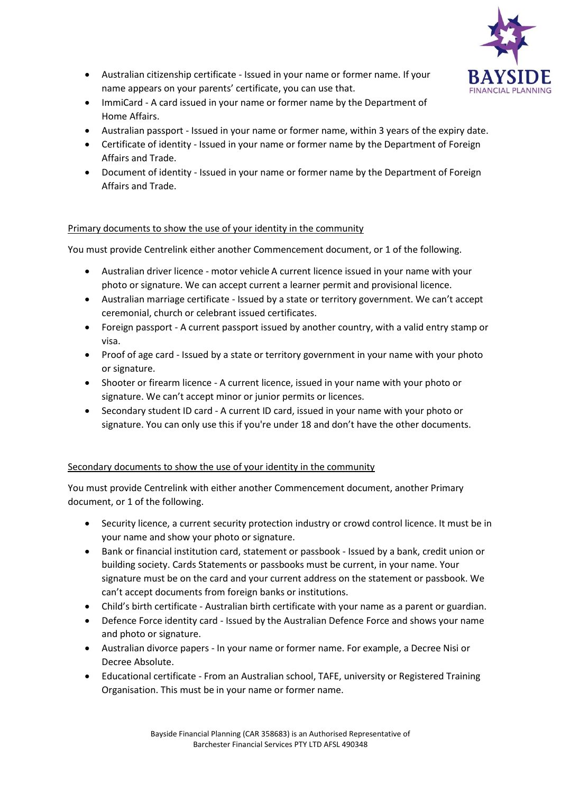

- Australian citizenship certificate Issued in your name or former name. If your name appears on your parents' certificate, you can use that.
- ImmiCard A card issued in your name or former name by the Department of Home Affairs.
- Australian passport Issued in your name or former name, within 3 years of the expiry date.
- Certificate of identity Issued in your name or former name by the Department of Foreign Affairs and Trade.
- Document of identity Issued in your name or former name by the Department of Foreign Affairs and Trade.

## Primary documents to show the use of your identity in the community

You must provide Centrelink either another Commencement document, or 1 of the following.

- Australian driver licence motor vehicle A current licence issued in your name with your photo or signature. We can accept current a learner permit and provisional licence.
- Australian marriage certificate Issued by a state or territory government. We can't accept ceremonial, church or celebrant issued certificates.
- Foreign passport A current passport issued by another country, with a valid entry stamp or visa.
- Proof of age card Issued by a state or territory government in your name with your photo or signature.
- Shooter or firearm licence A current licence, issued in your name with your photo or signature. We can't accept minor or junior permits or licences.
- Secondary student ID card A current ID card, issued in your name with your photo or signature. You can only use this if you're under 18 and don't have the other documents.

## Secondary documents to show the use of your identity in the community

You must provide Centrelink with either another Commencement document, another Primary document, or 1 of the following.

- Security licence, a current security protection industry or crowd control licence. It must be in your name and show your photo or signature.
- Bank or financial institution card, statement or passbook Issued by a bank, credit union or building society. Cards Statements or passbooks must be current, in your name. Your signature must be on the card and your current address on the statement or passbook. We can't accept documents from foreign banks or institutions.
- Child's birth certificate Australian birth certificate with your name as a parent or guardian.
- Defence Force identity card Issued by the Australian Defence Force and shows your name and photo or signature.
- Australian divorce papers In your name or former name. For example, a Decree Nisi or Decree Absolute.
- Educational certificate From an Australian school, TAFE, university or Registered Training Organisation. This must be in your name or former name.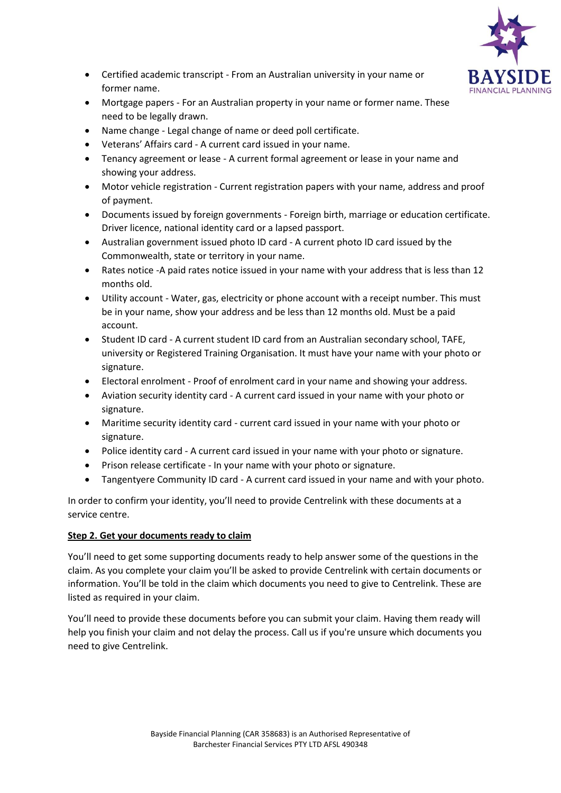

- Certified academic transcript From an Australian university in your name or former name.
- Mortgage papers For an Australian property in your name or former name. These need to be legally drawn.
- Name change Legal change of name or deed poll certificate.
- Veterans' Affairs card A current card issued in your name.
- Tenancy agreement or lease A current formal agreement or lease in your name and showing your address.
- Motor vehicle registration Current registration papers with your name, address and proof of payment.
- Documents issued by foreign governments Foreign birth, marriage or education certificate. Driver licence, national identity card or a lapsed passport.
- Australian government issued photo ID card A current photo ID card issued by the Commonwealth, state or territory in your name.
- Rates notice -A paid rates notice issued in your name with your address that is less than 12 months old.
- Utility account Water, gas, electricity or phone account with a receipt number. This must be in your name, show your address and be less than 12 months old. Must be a paid account.
- Student ID card A current student ID card from an Australian secondary school, TAFE, university or Registered Training Organisation. It must have your name with your photo or signature.
- Electoral enrolment Proof of enrolment card in your name and showing your address.
- Aviation security identity card A current card issued in your name with your photo or signature.
- Maritime security identity card current card issued in your name with your photo or signature.
- Police identity card A current card issued in your name with your photo or signature.
- Prison release certificate In your name with your photo or signature.
- Tangentyere Community ID card A current card issued in your name and with your photo.

In order to confirm your identity, you'll need to provide Centrelink with these documents at a service centre.

### **Step 2. Get your documents ready to claim**

You'll need to get some supporting documents ready to help answer some of the questions in the claim. As you complete your claim you'll be asked to provide Centrelink with certain documents or information. You'll be told in the claim which documents you need to give to Centrelink. These are listed as required in your claim.

You'll need to provide these documents before you can submit your claim. Having them ready will help you finish your claim and not delay the process. Call us if you're unsure which documents you need to give Centrelink.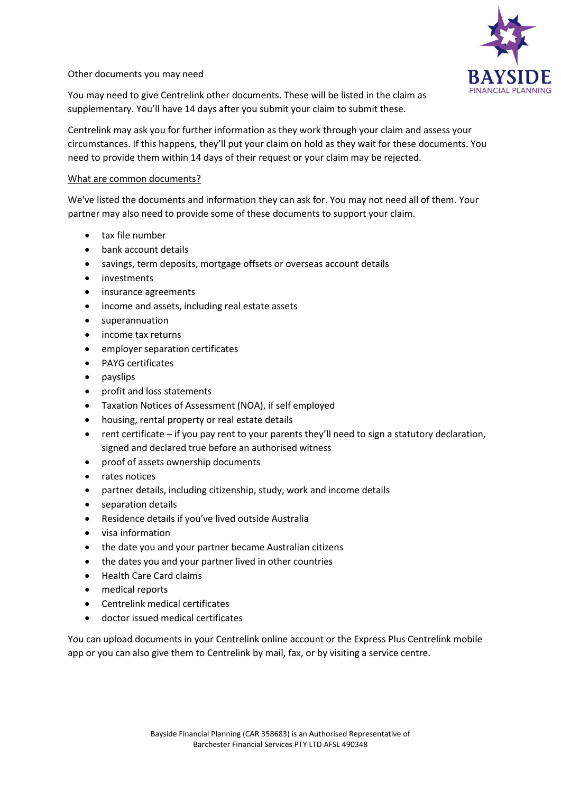

#### Other documents you may need

You may need to give Centrelink other documents. These will be listed in the claim as supplementary. You'll have 14 days after you submit your claim to submit these.

Centrelink may ask you for further information as they work through your claim and assess your circumstances. If this happens, they'll put your claim on hold as they wait for these documents. You need to provide them within 14 days of their request or your claim may be rejected.

#### What are common documents?

We've listed the documents and information they can ask for. You may not need all of them. Your partner may also need to provide some of these documents to support your claim.

- tax file number
- bank account details
- savings, term deposits, mortgage offsets or overseas account details
- investments
- insurance agreements
- income and assets, including real estate assets
- superannuation
- income tax returns
- employer separation certificates
- PAYG certificates
- payslips
- profit and loss statements
- Taxation Notices of Assessment (NOA), if self employed
- housing, rental property or real estate details
- rent certificate if you pay rent to your parents they'll need to sign a statutory declaration, signed and declared true before an authorised witness
- proof of assets ownership documents
- rates notices
- partner details, including citizenship, study, work and income details
- separation details
- Residence details if you've lived outside Australia
- visa information
- the date you and your partner became Australian citizens
- the dates you and your partner lived in other countries
- Health Care Card claims
- medical reports
- Centrelink medical certificates
- doctor issued medical certificates

You can upload documents in your Centrelink online account or the Express Plus Centrelink mobile app or you can also give them to Centrelink by mail, fax, or by visiting a service centre.